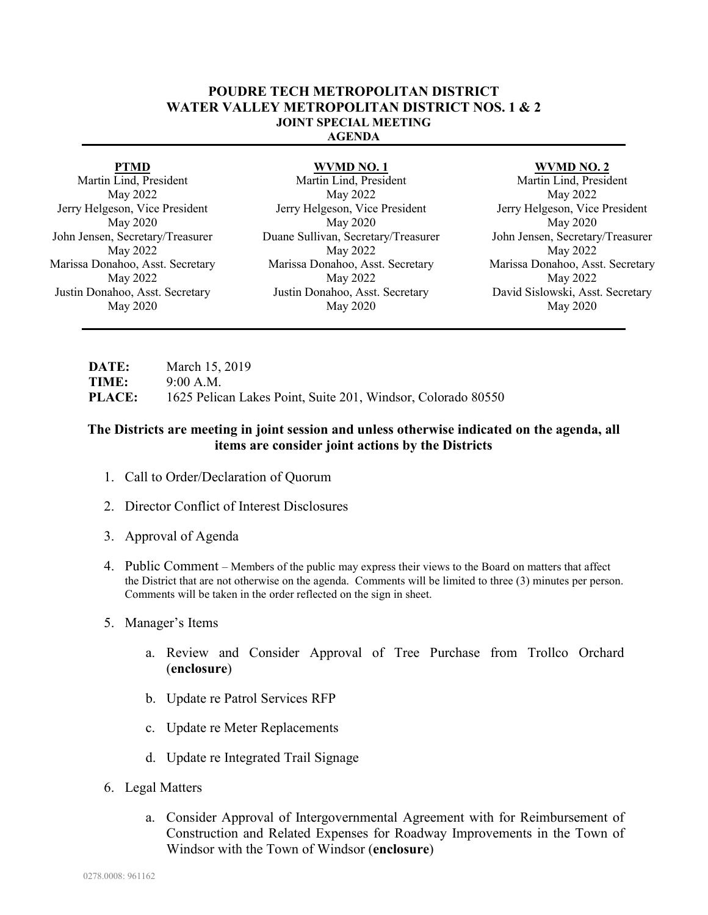#### **POUDRE TECH METROPOLITAN DISTRICT WATER VALLEY METROPOLITAN DISTRICT NOS. 1 & 2 JOINT SPECIAL MEETING AGENDA**

### Martin Lind, President May 2022 Jerry Helgeson, Vice President May 2020 John Jensen, Secretary/Treasurer May 2022 Marissa Donahoo, Asst. Secretary May 2022 Justin Donahoo, Asst. Secretary May 2020

**PTMD WVMD NO. 1 WVMD NO. 2** Martin Lind, President May 2022 Jerry Helgeson, Vice President May 2020 Duane Sullivan, Secretary/Treasurer May 2022 Marissa Donahoo, Asst. Secretary May 2022 Justin Donahoo, Asst. Secretary May 2020

Martin Lind, President May 2022 Jerry Helgeson, Vice President May 2020 John Jensen, Secretary/Treasurer May 2022 Marissa Donahoo, Asst. Secretary May 2022 David Sislowski, Asst. Secretary May 2020

| DATE:         | March 15, 2019                                               |
|---------------|--------------------------------------------------------------|
| <b>TIME:</b>  | 9:00 A.M.                                                    |
| <b>PLACE:</b> | 1625 Pelican Lakes Point, Suite 201, Windsor, Colorado 80550 |

## **The Districts are meeting in joint session and unless otherwise indicated on the agenda, all items are consider joint actions by the Districts**

- 1. Call to Order/Declaration of Quorum
- 2. Director Conflict of Interest Disclosures
- 3. Approval of Agenda
- 4. Public Comment Members of the public may express their views to the Board on matters that affect the District that are not otherwise on the agenda. Comments will be limited to three (3) minutes per person. Comments will be taken in the order reflected on the sign in sheet.
- 5. Manager's Items
	- a. Review and Consider Approval of Tree Purchase from Trollco Orchard (**enclosure**)
	- b. Update re Patrol Services RFP
	- c. Update re Meter Replacements
	- d. Update re Integrated Trail Signage
- 6. Legal Matters
	- a. Consider Approval of Intergovernmental Agreement with for Reimbursement of Construction and Related Expenses for Roadway Improvements in the Town of Windsor with the Town of Windsor (**enclosure**)